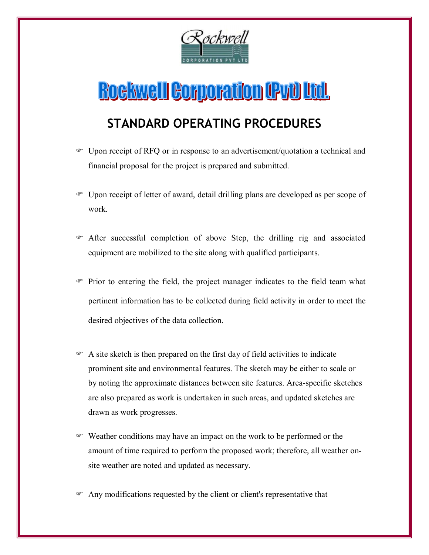

## **Rockwell Corporation (PvU Ltd.**

## **STANDARD OPERATING PROCEDURES**

- Upon receipt of RFQ or in response to an advertisement/quotation a technical and financial proposal for the project is prepared and submitted.
- Upon receipt of letter of award, detail drilling plans are developed as per scope of work.
- After successful completion of above Step, the drilling rig and associated equipment are mobilized to the site along with qualified participants.
- Prior to entering the field, the project manager indicates to the field team what pertinent information has to be collected during field activity in order to meet the desired objectives of the data collection.
- $\mathcal{F}$  A site sketch is then prepared on the first day of field activities to indicate prominent site and environmental features. The sketch may be either to scale or by noting the approximate distances between site features. Area-specific sketches are also prepared as work is undertaken in such areas, and updated sketches are drawn as work progresses.
- Weather conditions may have an impact on the work to be performed or the amount of time required to perform the proposed work; therefore, all weather onsite weather are noted and updated as necessary.
- Any modifications requested by the client or client's representative that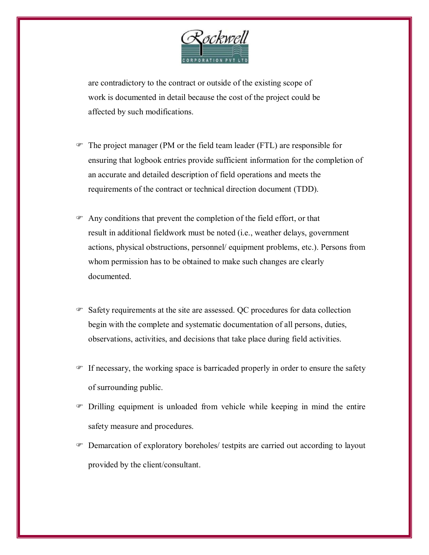

are contradictory to the contract or outside of the existing scope of work is documented in detail because the cost of the project could be affected by such modifications.

- The project manager (PM or the field team leader (FTL) are responsible for ensuring that logbook entries provide sufficient information for the completion of an accurate and detailed description of field operations and meets the requirements of the contract or technical direction document (TDD).
- Any conditions that prevent the completion of the field effort, or that result in additional fieldwork must be noted (i.e., weather delays, government actions, physical obstructions, personnel/ equipment problems, etc.). Persons from whom permission has to be obtained to make such changes are clearly documented.
- Safety requirements at the site are assessed. QC procedures for data collection begin with the complete and systematic documentation of all persons, duties, observations, activities, and decisions that take place during field activities.
- If necessary, the working space is barricaded properly in order to ensure the safety of surrounding public.
- Drilling equipment is unloaded from vehicle while keeping in mind the entire safety measure and procedures.
- Demarcation of exploratory boreholes/ testpits are carried out according to layout provided by the client/consultant.